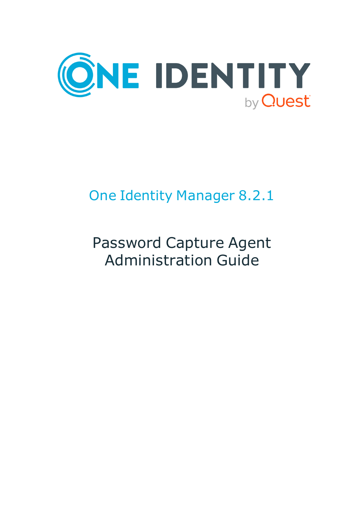

# One Identity Manager 8.2.1

# Password Capture Agent Administration Guide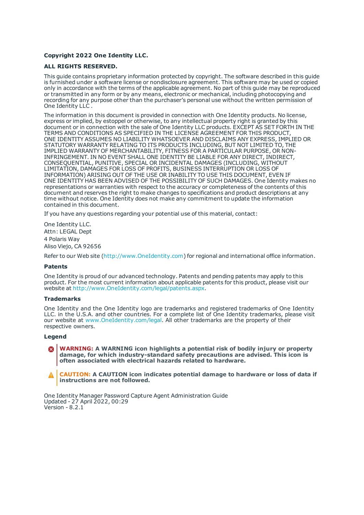#### **Copyright 2022 One Identity LLC.**

#### **ALL RIGHTS RESERVED.**

This guide contains proprietary information protected by copyright. The software described in this guide is furnished under a software license or nondisclosure agreement. This software may be used or copied only in accordance with the terms of the applicable agreement. No part of this guide may be reproduced or transmitted in any form or by any means, electronic or mechanical, including photocopying and recording for any purpose other than the purchaser's personal use without the written permission of One Identity LLC .

The information in this document is provided in connection with One Identity products. No license, express or implied, by estoppel or otherwise, to any intellectual property right is granted by this document or in connection with the sale of One Identity LLC products. EXCEPT AS SET FORTH IN THE TERMS AND CONDITIONS AS SPECIFIED IN THE LICENSE AGREEMENT FOR THIS PRODUCT, ONE IDENTITY ASSUMES NO LIABILITY WHATSOEVER AND DISCLAIMS ANY EXPRESS, IMPLIED OR STATUTORY WARRANTY RELATING TO ITS PRODUCTS INCLUDING, BUT NOT LIMITED TO, THE IMPLIED WARRANTY OF MERCHANTABILITY, FITNESS FOR A PARTICULAR PURPOSE, OR NON-INFRINGEMENT. IN NO EVENT SHALL ONE IDENTITY BE LIABLE FOR ANY DIRECT, INDIRECT, CONSEQUENTIAL, PUNITIVE, SPECIAL OR INCIDENTAL DAMAGES (INCLUDING, WITHOUT LIMITATION, DAMAGES FOR LOSS OF PROFITS, BUSINESS INTERRUPTION OR LOSS OF INFORMATION) ARISING OUT OF THE USE OR INABILITY TO USE THIS DOCUMENT, EVEN IF ONE IDENTITY HAS BEEN ADVISED OF THE POSSIBILITY OF SUCH DAMAGES. One Identity makes no representations or warranties with respect to the accuracy or completeness of the contents of this document and reserves the right to make changes to specifications and product descriptions at any time without notice. One Identity does not make any commitment to update the information contained in this document.

If you have any questions regarding your potential use of this material, contact:

One Identity LLC. Attn: LEGAL Dept 4 Polaris Way Aliso Viejo, CA 92656

Refer to our Web site ([http://www.OneIdentity.com](http://www.oneidentity.com/)) for regional and international office information.

#### **Patents**

One Identity is proud of our advanced technology. Patents and pending patents may apply to this product. For the most current information about applicable patents for this product, please visit our website at [http://www.OneIdentity.com/legal/patents.aspx](http://www.oneidentity.com/legal/patents.aspx).

#### **Trademarks**

One Identity and the One Identity logo are trademarks and registered trademarks of One Identity LLC. in the U.S.A. and other countries. For a complete list of One Identity trademarks, please visit our website at [www.OneIdentity.com/legal](http://www.oneidentity.com/legal). All other trademarks are the property of their respective owners.

#### **Legend**

**WARNING: A WARNING icon highlights a potential risk of bodily injury or property** Œ. **damage, for which industry-standard safety precautions are advised. This icon is often associated with electrical hazards related to hardware.**

**CAUTION: A CAUTION icon indicates potential damage to hardware or loss of data if** A **instructions are not followed.**

One Identity Manager Password Capture Agent Administration Guide Updated - 27 April 2022, 00:29 Version - 8.2.1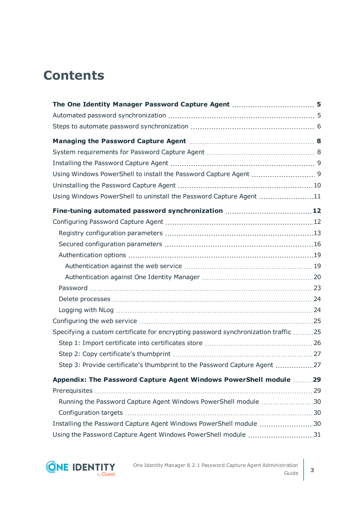## **Contents**

| Using Windows PowerShell to uninstall the Password Capture Agent 11                |  |
|------------------------------------------------------------------------------------|--|
|                                                                                    |  |
|                                                                                    |  |
|                                                                                    |  |
|                                                                                    |  |
|                                                                                    |  |
|                                                                                    |  |
|                                                                                    |  |
|                                                                                    |  |
|                                                                                    |  |
|                                                                                    |  |
|                                                                                    |  |
| Specifying a custom certificate for encrypting password synchronization traffic 25 |  |
|                                                                                    |  |
|                                                                                    |  |
| Step 3: Provide certificate's thumbprint to the Password Capture Agent 27          |  |
| Appendix: The Password Capture Agent Windows PowerShell module  29                 |  |
|                                                                                    |  |
| Running the Password Capture Agent Windows PowerShell module 30                    |  |
|                                                                                    |  |
| Installing the Password Capture Agent Windows PowerShell module 30                 |  |
| Using the Password Capture Agent Windows PowerShell module 31                      |  |

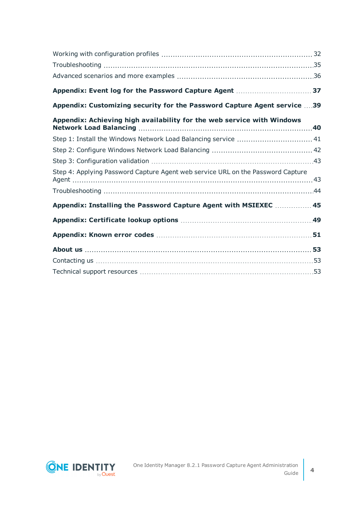| Appendix: Customizing security for the Password Capture Agent service 39        |  |
|---------------------------------------------------------------------------------|--|
| Appendix: Achieving high availability for the web service with Windows          |  |
| Step 1: Install the Windows Network Load Balancing service  41                  |  |
|                                                                                 |  |
|                                                                                 |  |
| Step 4: Applying Password Capture Agent web service URL on the Password Capture |  |
|                                                                                 |  |
| Appendix: Installing the Password Capture Agent with MSIEXEC  45                |  |
|                                                                                 |  |
|                                                                                 |  |
|                                                                                 |  |
|                                                                                 |  |
|                                                                                 |  |

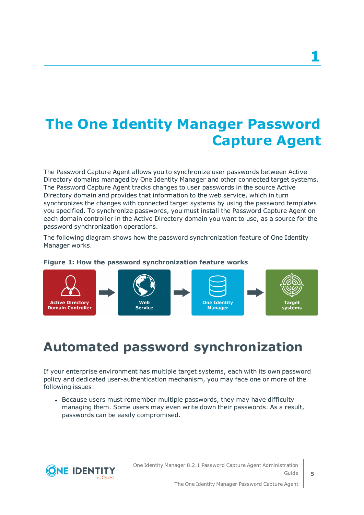# <span id="page-4-0"></span>**The One Identity Manager Password Capture Agent**

The Password Capture Agent allows you to synchronize user passwords between Active Directory domains managed by One Identity Manager and other connected target systems. The Password Capture Agent tracks changes to user passwords in the source Active Directory domain and provides that information to the web service, which in turn synchronizes the changes with connected target systems by using the password templates you specified. To synchronize passwords, you must install the Password Capture Agent on each domain controller in the Active Directory domain you want to use, as a source for the password synchronization operations.

The following diagram shows how the password synchronization feature of One Identity Manager works.



### **Figure 1: How the password synchronization feature works**

### <span id="page-4-1"></span>**Automated password synchronization**

If your enterprise environment has multiple target systems, each with its own password policy and dedicated user-authentication mechanism, you may face one or more of the following issues:

• Because users must remember multiple passwords, they may have difficulty managing them. Some users may even write down their passwords. As a result, passwords can be easily compromised.

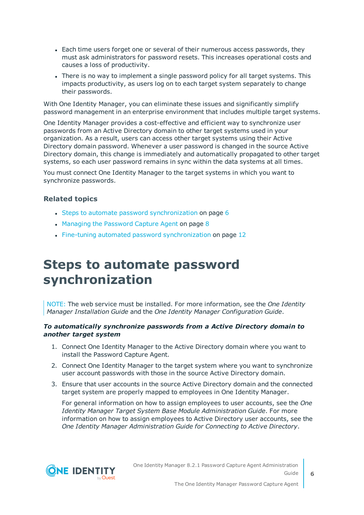- Each time users forget one or several of their numerous access passwords, they must ask administrators for password resets. This increases operational costs and causes a loss of productivity.
- There is no way to implement a single password policy for all target systems. This impacts productivity, as users log on to each target system separately to change their passwords.

With One Identity Manager, you can eliminate these issues and significantly simplify password management in an enterprise environment that includes multiple target systems.

One Identity Manager provides a cost-effective and efficient way to synchronize user passwords from an Active Directory domain to other target systems used in your organization. As a result, users can access other target systems using their Active Directory domain password. Whenever a user password is changed in the source Active Directory domain, this change is immediately and automatically propagated to other target systems, so each user password remains in sync within the data systems at all times.

You must connect One Identity Manager to the target systems in which you want to synchronize passwords.

### **Related topics**

- Steps to automate password [synchronization](#page-5-0) on page 6
- [Managing](#page-7-0) the Password Capture Agent on page 8
- <span id="page-5-0"></span>• Fine-tuning automated password [synchronization](#page-11-0) on page 12

### **Steps to automate password synchronization**

NOTE: The web service must be installed. For more information, see the *One Identity Manager Installation Guide* and the *One Identity Manager Configuration Guide*.

#### *To automatically synchronize passwords from a Active Directory domain to another target system*

- 1. Connect One Identity Manager to the Active Directory domain where you want to install the Password Capture Agent.
- 2. Connect One Identity Manager to the target system where you want to synchronize user account passwords with those in the source Active Directory domain.
- 3. Ensure that user accounts in the source Active Directory domain and the connected target system are properly mapped to employees in One Identity Manager.

For general information on how to assign employees to user accounts, see the *One Identity Manager Target System Base Module Administration Guide*. For more information on how to assign employees to Active Directory user accounts, see the *One Identity Manager Administration Guide for Connecting to Active Directory*.

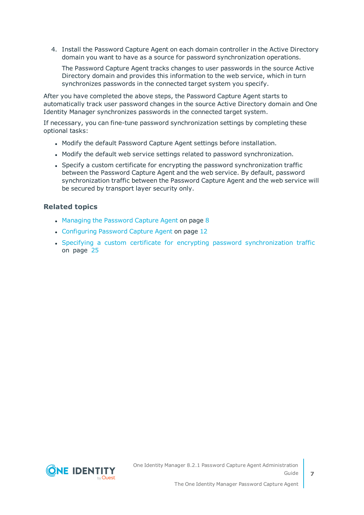4. Install the Password Capture Agent on each domain controller in the Active Directory domain you want to have as a source for password synchronization operations.

The Password Capture Agent tracks changes to user passwords in the source Active Directory domain and provides this information to the web service, which in turn synchronizes passwords in the connected target system you specify.

After you have completed the above steps, the Password Capture Agent starts to automatically track user password changes in the source Active Directory domain and One Identity Manager synchronizes passwords in the connected target system.

If necessary, you can fine-tune password synchronization settings by completing these optional tasks:

- Modify the default Password Capture Agent settings before installation.
- Modify the default web service settings related to password synchronization.
- Specify a custom certificate for encrypting the password synchronization traffic between the Password Capture Agent and the web service. By default, password synchronization traffic between the Password Capture Agent and the web service will be secured by transport layer security only.

### **Related topics**

- $\cdot$  [Managing](#page-7-0) the Password Capture Agent on page 8
- [Configuring](#page-11-1) Password Capture Agent on page 12
- Specifying a custom certificate for encrypting password [synchronization](#page-24-1) traffic on [page](#page-24-1) 25

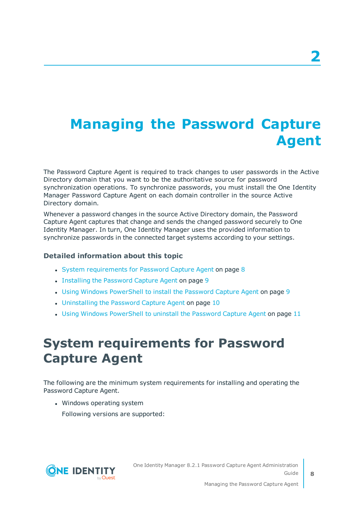# <span id="page-7-0"></span>**Managing the Password Capture Agent**

The Password Capture Agent is required to track changes to user passwords in the Active Directory domain that you want to be the authoritative source for password synchronization operations. To synchronize passwords, you must install the One Identity Manager Password Capture Agent on each domain controller in the source Active Directory domain.

Whenever a password changes in the source Active Directory domain, the Password Capture Agent captures that change and sends the changed password securely to One Identity Manager. In turn, One Identity Manager uses the provided information to synchronize passwords in the connected target systems according to your settings.

### **Detailed information about this topic**

- System [requirements](#page-7-1) for Password Capture Agent on page 8
- Installing the [Password](#page-8-0) Capture Agent on page 9
- Using Windows [PowerShell](#page-8-1) to install the Password Capture Agent on page 9
- [Uninstalling](#page-9-0) the Password Capture Agent on page 10
- <span id="page-7-1"></span>• Using Windows [PowerShell](#page-10-0) to uninstall the Password Capture Agent on page 11

### **System requirements for Password Capture Agent**

The following are the minimum system requirements for installing and operating the Password Capture Agent.

• Windows operating system

Following versions are supported:

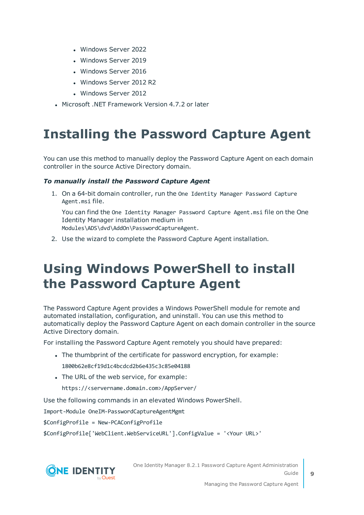- Windows Server 2022
- Windows Server 2019
- Windows Server 2016
- Windows Server 2012 R2
- Windows Server 2012
- Microsoft .NET Framework Version 4.7.2 or later

### <span id="page-8-0"></span>**Installing the Password Capture Agent**

You can use this method to manually deploy the Password Capture Agent on each domain controller in the source Active Directory domain.

### *To manually install the Password Capture Agent*

1. On a 64-bit domain controller, run the One Identity Manager Password Capture Agent.msi file.

You can find the One Identity Manager Password Capture Agent.msi file on the One Identity Manager installation medium in Modules\ADS\dvd\AddOn\PasswordCaptureAgent.

<span id="page-8-1"></span>2. Use the wizard to complete the Password Capture Agent installation.

## **Using Windows PowerShell to install the Password Capture Agent**

The Password Capture Agent provides a Windows PowerShell module for remote and automated installation, configuration, and uninstall. You can use this method to automatically deploy the Password Capture Agent on each domain controller in the source Active Directory domain.

For installing the Password Capture Agent remotely you should have prepared:

- The thumbprint of the certificate for password encryption, for example: 1800b62e8cf19d1c4bcdcd2b6e435c3c85e04188
- The URL of the web service, for example:

https://<servername.domain.com>/AppServer/

Use the following commands in an elevated Windows PowerShell.

Import-Module OneIM-PasswordCaptureAgentMgmt

\$ConfigProfile = New-PCAConfigProfile

\$ConfigProfile['WebClient.WebServiceURL'].ConfigValue = '<Your URL>'



One Identity Manager 8.2.1 Password Capture Agent Administration Guide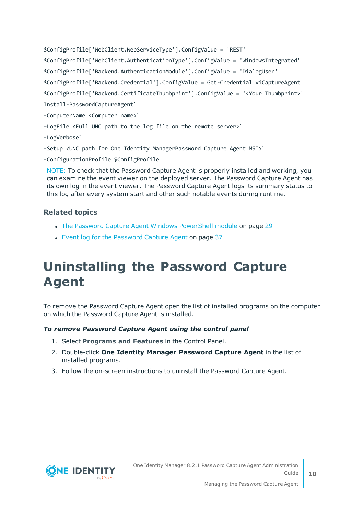\$ConfigProfile['WebClient.WebServiceType'].ConfigValue = 'REST' \$ConfigProfile['WebClient.AuthenticationType'].ConfigValue = 'WindowsIntegrated' \$ConfigProfile['Backend.AuthenticationModule'].ConfigValue = 'DialogUser' \$ConfigProfile['Backend.Credential'].ConfigValue = Get-Credential viCaptureAgent \$ConfigProfile['Backend.CertificateThumbprint'].ConfigValue = '<Your Thumbprint>' Install-PasswordCaptureAgent` -ComputerName <Computer name>` –LogFile <Full UNC path to the log file on the remote server>` -LogVerbose` -Setup <UNC path for One Identity ManagerPassword Capture Agent MSI>` -ConfigurationProfile \$ConfigProfile

NOTE: To check that the Password Capture Agent is properly installed and working, you can examine the event viewer on the deployed server. The Password Capture Agent has its own log in the event viewer. The Password Capture Agent logs its summary status to this log after every system start and other such notable events during runtime.

### **Related topics**

- The Password Capture [Agent Windows](#page-28-0) PowerShell module on page 29
- Event log for the [Password](#page-36-0) Capture Agent on page 37

## <span id="page-9-0"></span>**Uninstalling the Password Capture Agent**

To remove the Password Capture Agent open the list of installed programs on the computer on which the Password Capture Agent is installed.

### *To remove Password Capture Agent using the control panel*

- 1. Select **Programs and Features** in the Control Panel.
- 2. Double-click **One Identity Manager Password Capture Agent** in the list of installed programs.
- 3. Follow the on-screen instructions to uninstall the Password Capture Agent.

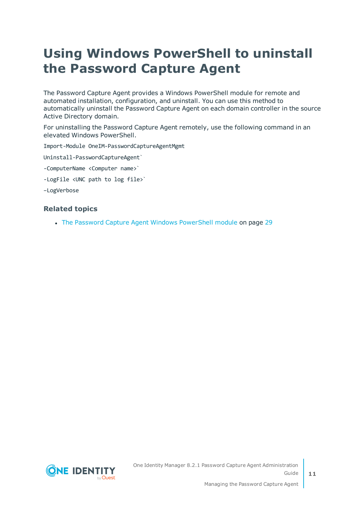## <span id="page-10-0"></span>**Using Windows PowerShell to uninstall the Password Capture Agent**

The Password Capture Agent provides a Windows PowerShell module for remote and automated installation, configuration, and uninstall. You can use this method to automatically uninstall the Password Capture Agent on each domain controller in the source Active Directory domain.

For uninstalling the Password Capture Agent remotely, use the following command in an elevated Windows PowerShell.

Import-Module OneIM-PasswordCaptureAgentMgmt

Uninstall-PasswordCaptureAgent`

-ComputerName <Computer name>`

-LogFile <UNC path to log file>`

–LogVerbose

### **Related topics**

• The Password Capture [Agent Windows](#page-28-0) PowerShell module on page 29

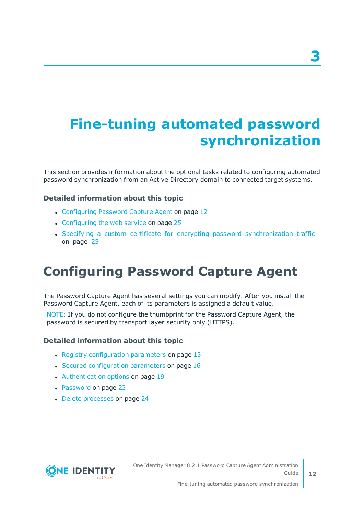# <span id="page-11-0"></span>**Fine-tuning automated password synchronization**

This section provides information about the optional tasks related to configuring automated password synchronization from an Active Directory domain to connected target systems.

### **Detailed information about this topic**

- [Configuring](#page-11-1) Password Capture Agent on page 12
- $\cdot$  [Configuring](#page-24-0) the web service on page 25
- Specifying a custom certificate for encrypting password [synchronization](#page-24-1) traffic on [page](#page-24-1) 25

### <span id="page-11-1"></span>**Configuring Password Capture Agent**

The Password Capture Agent has several settings you can modify. After you install the Password Capture Agent, each of its parameters is assigned a default value.

NOTE: If you do not configure the thumbprint for the Password Capture Agent, the password is secured by transport layer security only (HTTPS).

#### **Detailed information about this topic**

- Registry [configuration](#page-12-0) parameters on page 13
- Secured [configuration](#page-15-0) parameters on page 16
- [Authentication](#page-18-0) options on page 19
- [Password](#page-22-0) on page 23
- Delete [processes](#page-23-0) on page 24



**3**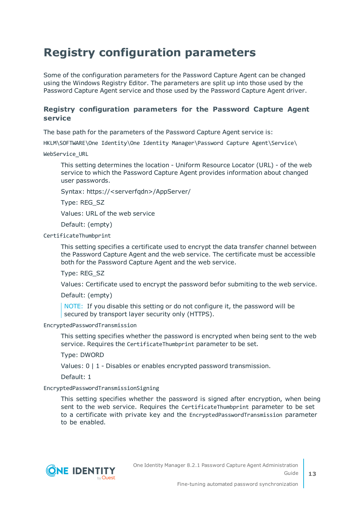### <span id="page-12-0"></span>**Registry configuration parameters**

Some of the configuration parameters for the Password Capture Agent can be changed using the Windows Registry Editor. The parameters are split up into those used by the Password Capture Agent service and those used by the Password Capture Agent driver.

### **Registry configuration parameters for the Password Capture Agent service**

The base path for the parameters of the Password Capture Agent service is:

HKLM\SOFTWARE\One Identity\One Identity Manager\Password Capture Agent\Service\

WebService\_URL

This setting determines the location - Uniform Resource Locator (URL) - of the web service to which the Password Capture Agent provides information about changed user passwords.

Syntax: https://<serverfqdn>/AppServer/

Type: REG\_SZ

Values: URL of the web service

Default: (empty)

CertificateThumbprint

This setting specifies a certificate used to encrypt the data transfer channel between the Password Capture Agent and the web service. The certificate must be accessible both for the Password Capture Agent and the web service.

Type: REG\_SZ

Values: Certificate used to encrypt the password befor submiting to the web service.

Default: (empty)

NOTE: If you disable this setting or do not configure it, the password will be secured by transport layer security only (HTTPS).

EncryptedPasswordTransmission

This setting specifies whether the password is encrypted when being sent to the web service. Requires the CertificateThumbprint parameter to be set.

Type: DWORD

Values:  $0 \mid 1$  - Disables or enables encrypted password transmission.

Default: 1

#### EncryptedPasswordTransmissionSigning

This setting specifies whether the password is signed after encryption, when being sent to the web service. Requires the CertificateThumbprint parameter to be set to a certificate with private key and the EncryptedPasswordTransmission parameter to be enabled.

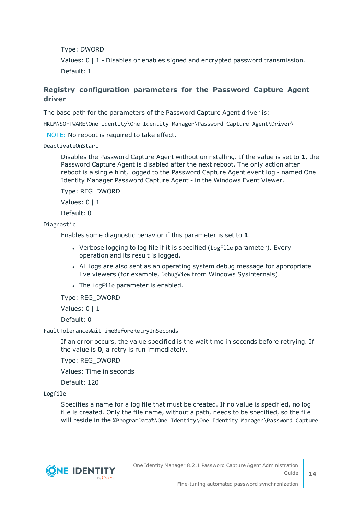Type: DWORD

Values: 0 | 1 - Disables or enables signed and encrypted password transmission. Default: 1

### **Registry configuration parameters for the Password Capture Agent driver**

The base path for the parameters of the Password Capture Agent driver is:

HKLM\SOFTWARE\One Identity\One Identity Manager\Password Capture Agent\Driver\

NOTE: No reboot is required to take effect.

DeactivateOnStart

Disables the Password Capture Agent without uninstalling. If the value is set to **1**, the Password Capture Agent is disabled after the next reboot. The only action after reboot is a single hint, logged to the Password Capture Agent event log - named One Identity Manager Password Capture Agent - in the Windows Event Viewer.

Type: REG\_DWORD

Values: 0 | 1

Default: 0

Diagnostic

Enables some diagnostic behavior if this parameter is set to **1**.

- Verbose logging to log file if it is specified (LogFile parameter). Every operation and its result is logged.
- All logs are also sent as an operating system debug message for appropriate live viewers (for example, DebugView from Windows Sysinternals).
- The LogFile parameter is enabled.

Type: REG\_DWORD

Values: 0 | 1

Default: 0

#### FaultToleranceWaitTimeBeforeRetryInSeconds

If an error occurs, the value specified is the wait time in seconds before retrying. If the value is **0**, a retry is run immediately.

Type: REG\_DWORD

Values: Time in seconds

Default: 120

Logfile

Specifies a name for a log file that must be created. If no value is specified, no log file is created. Only the file name, without a path, needs to be specified, so the file will reside in the %ProgramData%\One Identity\One Identity Manager\Password Capture

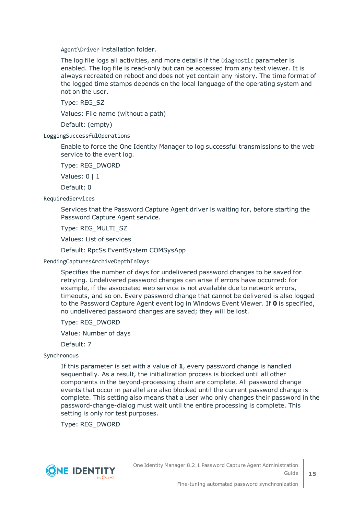Agent\Driver installation folder.

The log file logs all activities, and more details if the Diagnostic parameter is enabled. The log file is read-only but can be accessed from any text viewer. It is always recreated on reboot and does not yet contain any history. The time format of the logged time stamps depends on the local language of the operating system and not on the user.

Type: REG\_SZ

Values: File name (without a path)

Default: (empty)

LoggingSuccessfulOperations

Enable to force the One Identity Manager to log successful transmissions to the web service to the event log.

Type: REG\_DWORD

Values: 0 | 1

Default: 0

RequiredServices

Services that the Password Capture Agent driver is waiting for, before starting the Password Capture Agent service.

Type: REG\_MULTI\_SZ

Values: List of services

Default: RpcSs EventSystem COMSysApp

PendingCapturesArchiveDepthInDays

Specifies the number of days for undelivered password changes to be saved for retrying. Undelivered password changes can arise if errors have occurred: for example, if the associated web service is not available due to network errors, timeouts, and so on. Every password change that cannot be delivered is also logged to the Password Capture Agent event log in Windows Event Viewer. If **0** is specified, no undelivered password changes are saved; they will be lost.

Type: REG\_DWORD

Value: Number of days

Default: 7

Synchronous

If this parameter is set with a value of **1**, every password change is handled sequentially. As a result, the initialization process is blocked until all other components in the beyond-processing chain are complete. All password change events that occur in parallel are also blocked until the current password change is complete. This setting also means that a user who only changes their password in the password-change-dialog must wait until the entire processing is complete. This setting is only for test purposes.

Type: REG\_DWORD

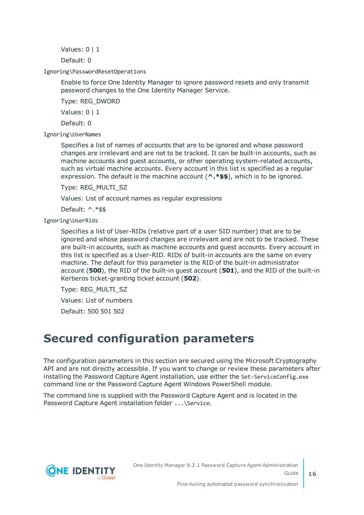Values: 0 | 1

Default: 0

Ignoring\PasswordResetOperations

Enable to force One Identity Manager to ignore password resets and only transmit password changes to the One Identity Manager Service.

Type: REG\_DWORD

Values: 0 | 1

Default: 0

Ignoring\UserNames

Specifies a list of names of accounts that are to be ignored and whose password changes are irrelevant and are not to be tracked. It can be built-in accounts, such as machine accounts and guest accounts, or other operating system-related accounts, such as virtual machine accounts. Every account in this list is specified as a regular expression. The default is the machine account (**^.\*\$\$**), which is to be ignored.

Type: REG\_MULTI\_SZ

Values: List of account names as regular expressions

Default: ^.\*\$\$

Ignoring\UserRids

Specifies a list of User-RIDs (relative part of a user SID number) that are to be ignored and whose password changes are irrelevant and are not to be tracked. These are built-in accounts, such as machine accounts and guest accounts. Every account in this list is specified as a User-RID. RIDs of built-in accounts are the same on every machine. The default for this parameter is the RID of the built-in administrator account (**500**), the RID of the built-in guest account (**501**), and the RID of the built-in Kerberos ticket-granting ticket account (**502**).

Type: REG\_MULTI\_SZ

Values: List of numbers

Default: 500 501 502

### <span id="page-15-0"></span>**Secured configuration parameters**

The configuration parameters in this section are secured using the Microsoft Cryptography API and are not directly accessible. If you want to change or review these parameters after installing the Password Capture Agent installation, use either the Set-ServiceConfig.exe command line or the Password Capture Agent Windows PowerShell module.

The command line is supplied with the Password Capture Agent and is located in the Password Capture Agent installation folder ... \Service.

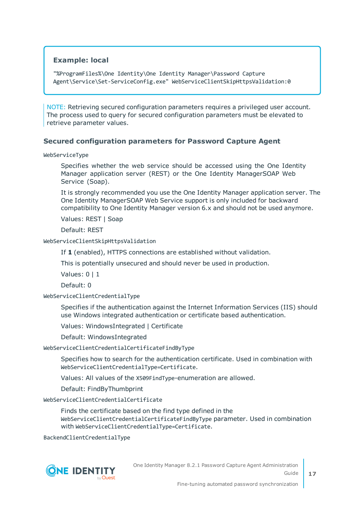### **Example: local**

"%ProgramFiles%\One Identity\One Identity Manager\Password Capture Agent\Service\Set-ServiceConfig.exe" WebServiceClientSkipHttpsValidation:0

NOTE: Retrieving secured configuration parameters requires a privileged user account. The process used to query for secured configuration parameters must be elevated to retrieve parameter values.

#### **Secured configuration parameters for Password Capture Agent**

WebServiceType

Specifies whether the web service should be accessed using the One Identity Manager application server (REST) or the One Identity ManagerSOAP Web Service (Soap).

It is strongly recommended you use the One Identity Manager application server. The One Identity ManagerSOAP Web Service support is only included for backward compatibility to One Identity Manager version 6.x and should not be used anymore.

Values: REST | Soap

Default: REST

#### WebServiceClientSkipHttpsValidation

If **1** (enabled), HTTPS connections are established without validation.

This is potentially unsecured and should never be used in production.

Values: 0 | 1

Default: 0

WebServiceClientCredentialType

Specifies if the authentication against the Internet Information Services (IIS) should use Windows integrated authentication or certificate based authentication.

Values: WindowsIntegrated | Certificate

Default: WindowsIntegrated

WebServiceClientCredentialCertificateFindByType

Specifies how to search for the authentication certificate. Used in combination with WebServiceClientCredentialType=Certificate.

Values: All values of the X509FindType-enumeration are allowed.

Default: FindByThumbprint

WebServiceClientCredentialCertificate

Finds the certificate based on the find type defined in the WebServiceClientCredentialCertificateFindByType parameter. Used in combination with WebServiceClientCredentialType=Certificate.

BackendClientCredentialType



One Identity Manager 8.2.1 Password Capture Agent Administration Guide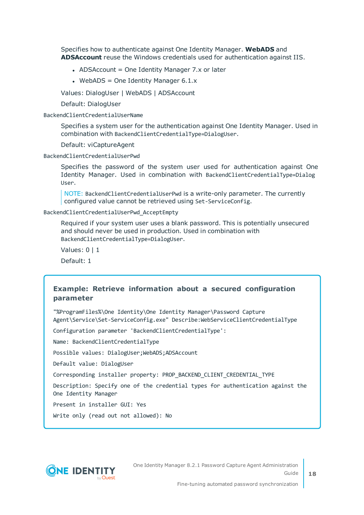Specifies how to authenticate against One Identity Manager. **WebADS** and **ADSAccount** reuse the Windows credentials used for authentication against IIS.

- ADSAccount = One Identity Manager 7. $x$  or later
- WebADS = One Identity Manager  $6.1.x$

Values: DialogUser | WebADS | ADSAccount

Default: DialogUser

BackendClientCredentialUserName

Specifies a system user for the authentication against One Identity Manager. Used in combination with BackendClientCredentialType=DialogUser.

Default: viCaptureAgent

BackendClientCredentialUserPwd

Specifies the password of the system user used for authentication against One Identity Manager. Used in combination with BackendClientCredentialType=Dialog User.

NOTE: BackendClientCredentialUserPwd is a write-only parameter. The currently configured value cannot be retrieved using Set-ServiceConfig.

BackendClientCredentialUserPwd\_AcceptEmpty

Required if your system user uses a blank password. This is potentially unsecured and should never be used in production. Used in combination with BackendClientCredentialType=DialogUser.

Values: 0 | 1

Default: 1

### **Example: Retrieve information about a secured configuration parameter**

"%ProgramFiles%\One Identity\One Identity Manager\Password Capture Agent\Service\Set-ServiceConfig.exe" Describe:WebServiceClientCredentialType

Configuration parameter 'BackendClientCredentialType':

Name: BackendClientCredentialType

Possible values: DialogUser;WebADS;ADSAccount

Default value: DialogUser

Corresponding installer property: PROP\_BACKEND\_CLIENT\_CREDENTIAL\_TYPE

Description: Specify one of the credential types for authentication against the One Identity Manager

Present in installer GUI: Yes

Write only (read out not allowed): No



One Identity Manager 8.2.1 Password Capture Agent Administration Guide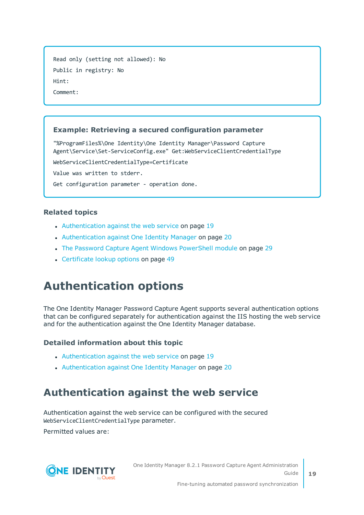```
Read only (setting not allowed): No
Public in registry: No
Hint:
Comment:
```
### **Example: Retrieving a secured configuration parameter**

"%ProgramFiles%\One Identity\One Identity Manager\Password Capture Agent\Service\Set-ServiceConfig.exe" Get:WebServiceClientCredentialType

WebServiceClientCredentialType=Certificate

Value was written to stderr.

```
Get configuration parameter - operation done.
```
### **Related topics**

- [Authentication](#page-18-1) against the web service on page 19
- [Authentication](#page-19-0) against One Identity Manager on page 20
- The Password Capture [Agent Windows](#page-28-0) PowerShell module on page 29
- [Certificate](#page-48-0) lookup options on page 49

### <span id="page-18-0"></span>**Authentication options**

The One Identity Manager Password Capture Agent supports several authentication options that can be configured separately for authentication against the IIS hosting the web service and for the authentication against the One Identity Manager database.

### **Detailed information about this topic**

- [Authentication](#page-18-1) against the web service on page 19
- [Authentication](#page-19-0) against One Identity Manager on page 20

### <span id="page-18-1"></span>**Authentication against the web service**

Authentication against the web service can be configured with the secured WebServiceClientCredentialType parameter.

Permitted values are:

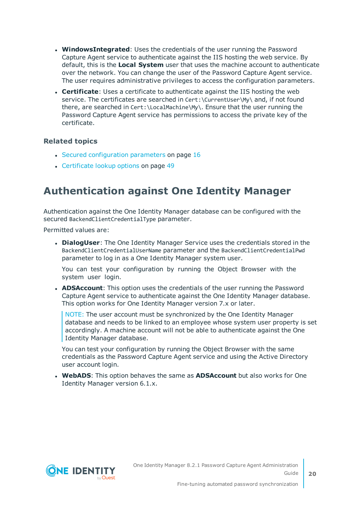- **WindowsIntegrated**: Uses the credentials of the user running the Password Capture Agent service to authenticate against the IIS hosting the web service. By default, this is the **Local System** user that uses the machine account to authenticate over the network. You can change the user of the Password Capture Agent service. The user requires administrative privileges to access the configuration parameters.
- **Certificate**: Uses a certificate to authenticate against the IIS hosting the web service. The certificates are searched in Cert:\CurrentUser\My\ and, if not found there, are searched in Cert:\LocalMachine\My\. Ensure that the user running the Password Capture Agent service has permissions to access the private key of the certificate.

### **Related topics**

- $\cdot$  Secured [configuration](#page-15-0) parameters on page 16
- [Certificate](#page-48-0) lookup options on page 49

### <span id="page-19-0"></span>**Authentication against One Identity Manager**

Authentication against the One Identity Manager database can be configured with the secured BackendClientCredentialType parameter.

Permitted values are:

**. DialogUser**: The One Identity Manager Service uses the credentials stored in the BackendClientCredentialUserName parameter and the BackendClientCredentialPwd parameter to log in as a One Identity Manager system user.

You can test your configuration by running the Object Browser with the system user login.

**ADSAccount:** This option uses the credentials of the user running the Password Capture Agent service to authenticate against the One Identity Manager database. This option works for One Identity Manager version 7.x or later.

NOTE: The user account must be synchronized by the One Identity Manager database and needs to be linked to an employee whose system user property is set accordingly. A machine account will not be able to authenticate against the One Identity Manager database.

You can test your configuration by running the Object Browser with the same credentials as the Password Capture Agent service and using the Active Directory user account login.

**. WebADS:** This option behaves the same as **ADSAccount** but also works for One Identity Manager version 6.1.x.

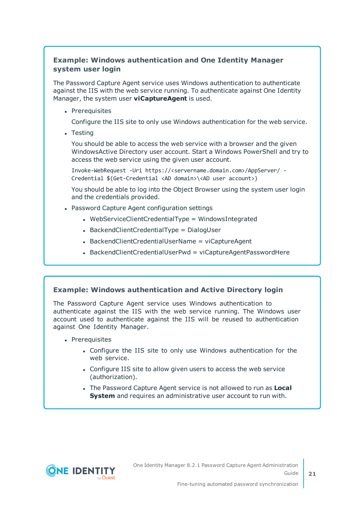### **Example: Windows authentication and One Identity Manager system user login**

The Password Capture Agent service uses Windows authentication to authenticate against the IIS with the web service running. To authenticate against One Identity Manager, the system user **viCaptureAgent** is used.

• Prerequisites

Configure the IIS site to only use Windows authentication for the web service.

• Testing

You should be able to access the web service with a browser and the given WindowsActive Directory user account. Start a Windows PowerShell and try to access the web service using the given user account.

Invoke-WebRequest -Uri https://<servername.domain.com>/AppServer/ - Credential \$(Get-Credential <AD domain>\<AD user account>)

You should be able to log into the Object Browser using the system user login and the credentials provided.

- Password Capture Agent configuration settings
	- $\bullet$  WebServiceClientCredentialType = WindowsIntegrated
	- $\bullet$  BackendClientCredentialType = DialogUser
	- BackendClientCredentialUserName = viCaptureAgent
	- BackendClientCredentialUserPwd = viCaptureAgentPasswordHere

### **Example: Windows authentication and Active Directory login**

The Password Capture Agent service uses Windows authentication to authenticate against the IIS with the web service running. The Windows user account used to authenticate against the IIS will be reused to authentication against One Identity Manager.

- Prerequisites
	- Configure the IIS site to only use Windows authentication for the web service.
	- Configure IIS site to allow given users to access the web service (authorization).
	- **.** The Password Capture Agent service is not allowed to run as **Local System** and requires an administrative user account to run with.



**21**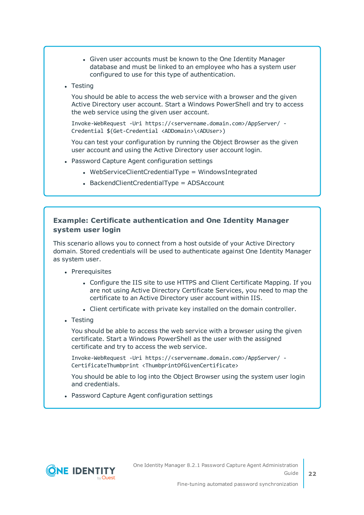- Given user accounts must be known to the One Identity Manager database and must be linked to an employee who has a system user configured to use for this type of authentication.
- Testing

You should be able to access the web service with a browser and the given Active Directory user account. Start a Windows PowerShell and try to access the web service using the given user account.

Invoke-WebRequest -Uri https://<servername.domain.com>/AppServer/ - Credential \$(Get-Credential <ADDomain>\<ADUser>)

You can test your configuration by running the Object Browser as the given user account and using the Active Directory user account login.

- Password Capture Agent configuration settings
	- $\bullet$  WebServiceClientCredentialType = WindowsIntegrated
	- $\bullet$  BackendClientCredentialType = ADSAccount

### **Example: Certificate authentication and One Identity Manager system user login**

This scenario allows you to connect from a host outside of your Active Directory domain. Stored credentials will be used to authenticate against One Identity Manager as system user.

- Prerequisites
	- Configure the IIS site to use HTTPS and Client Certificate Mapping. If you are not using Active Directory Certificate Services, you need to map the certificate to an Active Directory user account within IIS.
	- Client certificate with private key installed on the domain controller.
- Testing

You should be able to access the web service with a browser using the given certificate. Start a Windows PowerShell as the user with the assigned certificate and try to access the web service.

Invoke-WebRequest -Uri https://<servername.domain.com>/AppServer/ - CertificateThumbprint <ThumbprintOfGivenCertificate>

You should be able to log into the Object Browser using the system user login and credentials.

• Password Capture Agent configuration settings

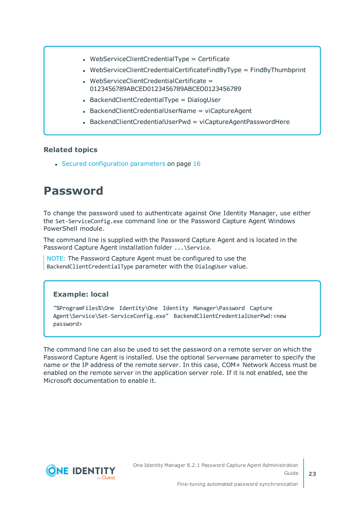- WebServiceClientCredentialType = Certificate
- WebServiceClientCredentialCertificateFindByType = FindByThumbprint
- $\bullet$  WebServiceClientCredentialCertificate = 0123456789ABCED0123456789ABCED0123456789
- $\bullet$  BackendClientCredentialType = DialogUser
- BackendClientCredentialUserName = viCaptureAgent
- $\bullet$  BackendClientCredentialUserPwd = viCaptureAgentPasswordHere

### **Related topics**

 $\cdot$  Secured [configuration](#page-15-0) parameters on page 16

### <span id="page-22-0"></span>**Password**

To change the password used to authenticate against One Identity Manager, use either the Set-ServiceConfig.exe command line or the Password Capture Agent Windows PowerShell module.

The command line is supplied with the Password Capture Agent and is located in the Password Capture Agent installation folder ... \Service.

NOTE: The Password Capture Agent must be configured to use the BackendClientCredentialType parameter with the DialogUser value.

### **Example: local**

"%ProgramFiles%\One Identity\One Identity Manager\Password Capture Agent\Service\Set-ServiceConfig.exe" BackendClientCredentialUserPwd:<new password>

The command line can also be used to set the password on a remote server on which the Password Capture Agent is installed. Use the optional Servername parameter to specify the name or the IP address of the remote server. In this case, COM+ Network Access must be enabled on the remote server in the application server role. If it is not enabled, see the Microsoft documentation to enable it.

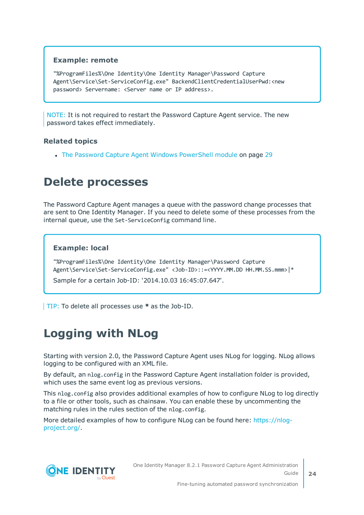### **Example: remote**

"%ProgramFiles%\One Identity\One Identity Manager\Password Capture Agent\Service\Set-ServiceConfig.exe" BackendClientCredentialUserPwd:<new password> Servername: <Server name or IP address>.

NOTE: It is not required to restart the Password Capture Agent service. The new password takes effect immediately.

### **Related topics**

• The Password Capture [Agent Windows](#page-28-0) PowerShell module on page 29

### <span id="page-23-0"></span>**Delete processes**

The Password Capture Agent manages a queue with the password change processes that are sent to One Identity Manager. If you need to delete some of these processes from the internal queue, use the Set-ServiceConfig command line.

### **Example: local**

"%ProgramFiles%\One Identity\One Identity Manager\Password Capture Agent\Service\Set-ServiceConfig.exe" <Job-ID>::=<YYYY.MM.DD HH.MM.SS.mmm>|\*

Sample for a certain Job-ID: '2014.10.03 16:45:07.647'.

<span id="page-23-1"></span>TIP: To delete all processes use **\*** as the Job-ID.

### **Logging with NLog**

Starting with version 2.0, the Password Capture Agent uses NLog for logging. NLog allows logging to be configured with an XML file.

By default, an nlog.config in the Password Capture Agent installation folder is provided, which uses the same event log as previous versions.

This nlog.config also provides additional examples of how to configure NLog to log directly to a file or other tools, such as chainsaw. You can enable these by uncommenting the matching rules in the rules section of the nlog.config.

More detailed examples of how to configure NLog can be found here: [https://nlog](https://nlog-project.org/)[project.org/](https://nlog-project.org/).

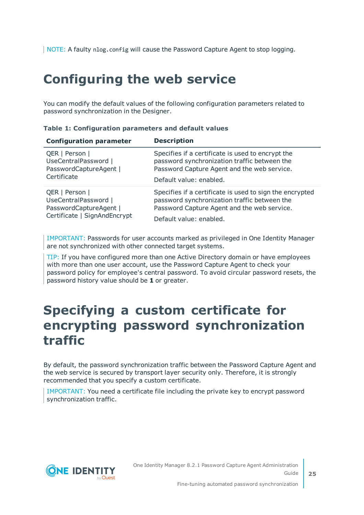<span id="page-24-0"></span>NOTE: A faulty nlog.config will cause the Password Capture Agent to stop logging.

### **Configuring the web service**

You can modify the default values of the following configuration parameters related to password synchronization in the Designer.

| <b>Configuration parameter</b> | <b>Description</b>                                       |
|--------------------------------|----------------------------------------------------------|
| QER   Person                   | Specifies if a certificate is used to encrypt the        |
| UseCentralPassword             | password synchronization traffic between the             |
| PasswordCaptureAgent           | Password Capture Agent and the web service.              |
| Certificate                    | Default value: enabled.                                  |
| QER   Person                   | Specifies if a certificate is used to sign the encrypted |
| UseCentralPassword             | password synchronization traffic between the             |
| PasswordCaptureAgent           | Password Capture Agent and the web service.              |
| Certificate   SignAndEncrypt   | Default value: enabled.                                  |

#### **Table 1: Configuration parameters and default values**

IMPORTANT: Passwords for user accounts marked as privileged in One Identity Manager are not synchronized with other connected target systems.

TIP: If you have configured more than one Active Directory domain or have employees with more than one user account, use the Password Capture Agent to check your password policy for employee's central password. To avoid circular password resets, the password history value should be **1** or greater.

### <span id="page-24-1"></span>**Specifying a custom certificate for encrypting password synchronization traffic**

By default, the password synchronization traffic between the Password Capture Agent and the web service is secured by transport layer security only. Therefore, it is strongly recommended that you specify a custom certificate.

IMPORTANT: You need a certificate file including the private key to encrypt password synchronization traffic.

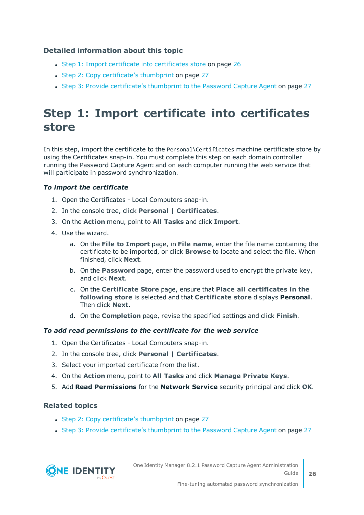### **Detailed information about this topic**

- Step 1: Import certificate into [certificates](#page-25-0) store on page 26
- Step 2: Copy [certificate's](#page-26-0) thumbprint on page 27
- Step 3: Provide [certificate's](#page-26-1) thumbprint to the Password Capture Agent on page 27

### <span id="page-25-0"></span>**Step 1: Import certificate into certificates store**

In this step, import the certificate to the Personal\Certificates machine certificate store by using the Certificates snap-in. You must complete this step on each domain controller running the Password Capture Agent and on each computer running the web service that will participate in password synchronization.

### *To import the certificate*

- 1. Open the Certificates Local Computers snap-in.
- 2. In the console tree, click **Personal | Certificates**.
- 3. On the **Action** menu, point to **All Tasks** and click **Import**.
- 4. Use the wizard.
	- a. On the **File to Import** page, in **File name**, enter the file name containing the certificate to be imported, or click **Browse** to locate and select the file. When finished, click **Next**.
	- b. On the **Password** page, enter the password used to encrypt the private key, and click **Next**.
	- c. On the **Certificate Store** page, ensure that **Place all certificates in the following store** is selected and that **Certificate store** displays **Personal**. Then click **Next**.
	- d. On the **Completion** page, revise the specified settings and click **Finish**.

### *To add read permissions to the certificate for the web service*

- 1. Open the Certificates Local Computers snap-in.
- 2. In the console tree, click **Personal | Certificates**.
- 3. Select your imported certificate from the list.
- 4. On the **Action** menu, point to **All Tasks** and click **Manage Private Keys**.
- 5. Add **Read Permissions** for the **Network Service** security principal and click **OK**.

### **Related topics**

- Step 2: Copy [certificate's](#page-26-0) thumbprint on page 27
- Step 3: Provide [certificate's](#page-26-1) thumbprint to the Password Capture Agent on page 27

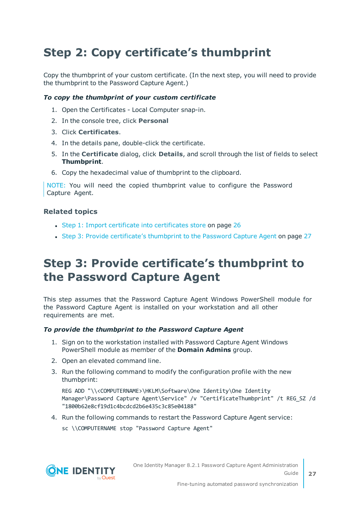### <span id="page-26-0"></span>**Step 2: Copy certificate's thumbprint**

Copy the thumbprint of your custom certificate. (In the next step, you will need to provide the thumbprint to the Password Capture Agent.)

### *To copy the thumbprint of your custom certificate*

- 1. Open the Certificates Local Computer snap-in.
- 2. In the console tree, click **Personal**
- 3. Click **Certificates**.
- 4. In the details pane, double-click the certificate.
- 5. In the **Certificate** dialog, click **Details**, and scroll through the list of fields to select **Thumbprint**.
- 6. Copy the hexadecimal value of thumbprint to the clipboard.

NOTE: You will need the copied thumbprint value to configure the Password Capture Agent.

### **Related topics**

- Step 1: Import certificate into [certificates](#page-25-0) store on page 26
- Step 3: Provide [certificate's](#page-26-1) thumbprint to the Password Capture Agent on page 27

### <span id="page-26-1"></span>**Step 3: Provide certificate's thumbprint to the Password Capture Agent**

This step assumes that the Password Capture Agent Windows PowerShell module for the Password Capture Agent is installed on your workstation and all other requirements are met.

#### *To provide the thumbprint to the Password Capture Agent*

- 1. Sign on to the workstation installed with Password Capture Agent Windows PowerShell module as member of the **Domain Admins** group.
- 2. Open an elevated command line.
- 3. Run the following command to modify the configuration profile with the new thumbprint:

REG ADD "\\<COMPUTERNAME>\HKLM\Software\One Identity\One Identity Manager\Password Capture Agent\Service" /v "CertificateThumbprint" /t REG\_SZ /d "1800b62e8cf19d1c4bcdcd2b6e435c3c85e04188"

- 4. Run the following commands to restart the Password Capture Agent service:
	- sc \\COMPUTERNAME stop "Password Capture Agent"



One Identity Manager 8.2.1 Password Capture Agent Administration Guide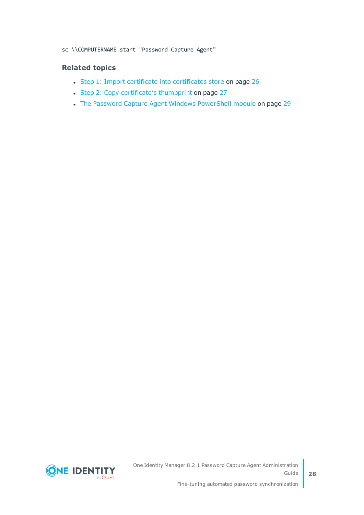#### sc \\COMPUTERNAME start "Password Capture Agent"

### **Related topics**

- Step 1: Import certificate into [certificates](#page-25-0) store on page 26
- Step 2: Copy [certificate's](#page-26-0) thumbprint on page 27
- The Password Capture [Agent Windows](#page-28-0) PowerShell module on page 29

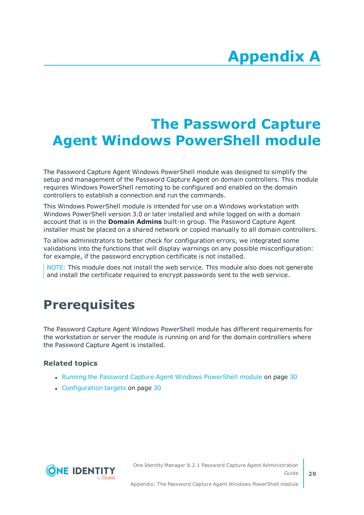# **Appendix A**

## <span id="page-28-0"></span>**Appendix:The Password Capture Agent Windows PowerShell module**

The Password Capture Agent Windows PowerShell module was designed to simplify the setup and management of the Password Capture Agent on domain controllers. This module requires Windows PowerShell remoting to be configured and enabled on the domain controllers to establish a connection and run the commands.

This Windows PowerShell module is intended for use on a Windows workstation with Windows PowerShell version 3.0 or later installed and while logged on with a domain account that is in the **Domain Admins** built-in group. The Password Capture Agent installer must be placed on a shared network or copied manually to all domain controllers.

To allow administrators to better check for configuration errors, we integrated some validations into the functions that will display warnings on any possible misconfiguration: for example, if the password encryption certificate is not installed.

NOTE: This module does not install the web service. This module also does not generate and install the certificate required to encrypt passwords sent to the web service.

### <span id="page-28-1"></span>**Prerequisites**

The Password Capture Agent Windows PowerShell module has different requirements for the workstation or server the module is running on and for the domain controllers where the Password Capture Agent is installed.

### **Related topics**

- Running the Password Capture [Agent Windows](#page-29-0) PowerShell module on page 30
- [Configuration](#page-29-1) targets on page 30

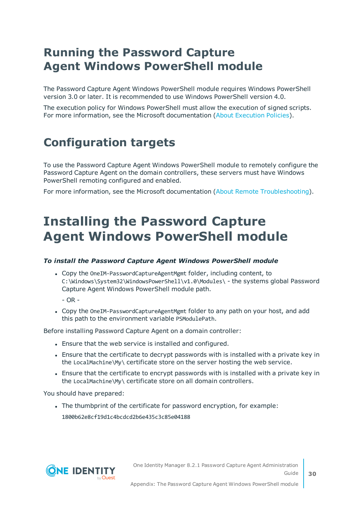### <span id="page-29-0"></span>**Running the Password Capture Agent Windows PowerShell module**

The Password Capture Agent Windows PowerShell module requires Windows PowerShell version 3.0 or later. It is recommended to use Windows PowerShell version 4.0.

The execution policy for Windows PowerShell must allow the execution of signed scripts. For more information, see the Microsoft documentation (About [Execution](https://docs.microsoft.com/en-us/powershell/module/microsoft.powershell.core/about/about_execution_policies) Policies).

### <span id="page-29-1"></span>**Configuration targets**

To use the Password Capture Agent Windows PowerShell module to remotely configure the Password Capture Agent on the domain controllers, these servers must have Windows PowerShell remoting configured and enabled.

<span id="page-29-2"></span>For more information, see the Microsoft documentation (About Remote [Troubleshooting\)](https://docs.microsoft.com/en-us/powershell/module/microsoft.powershell.core/about/about_remote_troubleshooting).

### **Installing the Password Capture Agent Windows PowerShell module**

### *To install the Password Capture Agent Windows PowerShell module*

• Copy the OneIM-PasswordCaptureAgentMgmt folder, including content, to C:\Windows\System32\WindowsPowerShell\v1.0\Modules\ - the systems global Password Capture Agent Windows PowerShell module path.

 $-$  OR  $-$ 

• Copy the OneIM-PasswordCaptureAgentMgmt folder to any path on your host, and add this path to the environment variable PSModulePath.

Before installing Password Capture Agent on a domain controller:

- **.** Ensure that the web service is installed and configured.
- Ensure that the certificate to decrypt passwords with is installed with a private key in the LocalMachine\My\ certificate store on the server hosting the web service.
- Ensure that the certificate to encrypt passwords with is installed with a private key in the LocalMachine\My\ certificate store on all domain controllers.

You should have prepared:

The thumbprint of the certificate for password encryption, for example: 1800b62e8cf19d1c4bcdcd2b6e435c3c85e04188

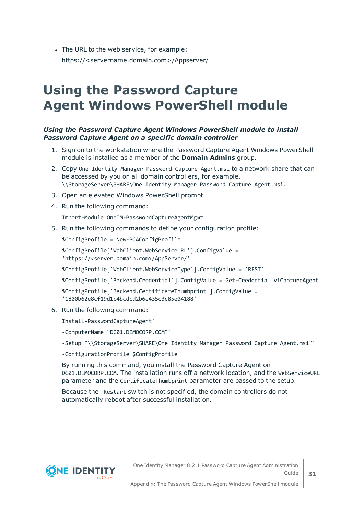• The URL to the web service, for example: https://<servername.domain.com>/Appserver/

## <span id="page-30-0"></span>**Using the Password Capture Agent Windows PowerShell module**

#### *Using the Password Capture Agent Windows PowerShell module to install Password Capture Agent on a specific domain controller*

- 1. Sign on to the workstation where the Password Capture Agent Windows PowerShell module is installed as a member of the **Domain Admins** group.
- 2. Copy One Identity Manager Password Capture Agent.msi to a network share that can be accessed by you on all domain controllers, for example, \\StorageServer\SHARE\One Identity Manager Password Capture Agent.msi.
- 3. Open an elevated Windows PowerShell prompt.
- 4. Run the following command:

Import-Module OneIM-PasswordCaptureAgentMgmt

5. Run the following commands to define your configuration profile:

\$ConfigProfile = New-PCAConfigProfile

```
$ConfigProfile['WebClient.WebServiceURL'].ConfigValue =
'https://<server.domain.com>/AppServer/'
```
\$ConfigProfile['WebClient.WebServiceType'].ConfigValue = 'REST'

\$ConfigProfile['Backend.Credential'].ConfigValue = Get-Credential viCaptureAgent

```
$ConfigProfile['Backend.CertificateThumbprint'].ConfigValue =
'1800b62e8cf19d1c4bcdcd2b6e435c3c85e04188'
```
6. Run the following command:

Install-PasswordCaptureAgent`

-ComputerName "DC01.DEMOCORP.COM"`

-Setup "\\StorageServer\SHARE\One Identity Manager Password Capture Agent.msi"`

-ConfigurationProfile \$ConfigProfile

By running this command, you install the Password Capture Agent on DC01.DEMOCORP.COM. The installation runs off a network location, and the WebServiceURL parameter and the CertificateThumbprint parameter are passed to the setup.

Because the -Restart switch is not specified, the domain controllers do not automatically reboot after successful installation.



**31**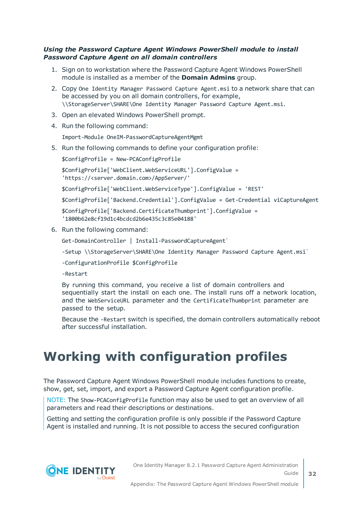### *Using the Password Capture Agent Windows PowerShell module to install Password Capture Agent on all domain controllers*

- 1. Sign on to workstation where the Password Capture Agent Windows PowerShell module is installed as a member of the **Domain Admins** group.
- 2. Copy One Identity Manager Password Capture Agent.msi to a network share that can be accessed by you on all domain controllers, for example, \\StorageServer\SHARE\One Identity Manager Password Capture Agent.msi.
- 3. Open an elevated Windows PowerShell prompt.
- 4. Run the following command:

Import-Module OneIM-PasswordCaptureAgentMgmt

5. Run the following commands to define your configuration profile:

```
$ConfigProfile = New-PCAConfigProfile
```
\$ConfigProfile['WebClient.WebServiceURL'].ConfigValue = 'https://<server.domain.com>/AppServer/'

\$ConfigProfile['WebClient.WebServiceType'].ConfigValue = 'REST'

\$ConfigProfile['Backend.Credential'].ConfigValue = Get-Credential viCaptureAgent

\$ConfigProfile['Backend.CertificateThumbprint'].ConfigValue = '1800b62e8cf19d1c4bcdcd2b6e435c3c85e04188'

6. Run the following command:

Get-DomainController | Install-PasswordCaptureAgent`

-Setup \\StorageServer\SHARE\One Identity Manager Password Capture Agent.msi

-ConfigurationProfile \$ConfigProfile

-Restart

By running this command, you receive a list of domain controllers and sequentially start the install on each one. The install runs off a network location, and the WebServiceURL parameter and the CertificateThumbprint parameter are passed to the setup.

Because the -Restart switch is specified, the domain controllers automatically reboot after successful installation.

## <span id="page-31-0"></span>**Working with configuration profiles**

The Password Capture Agent Windows PowerShell module includes functions to create, show, get, set, import, and export a Password Capture Agent configuration profile.

NOTE: The Show-PCAConfigProfile function may also be used to get an overview of all parameters and read their descriptions or destinations.

Getting and setting the configuration profile is only possible if the Password Capture Agent is installed and running. It is not possible to access the secured configuration

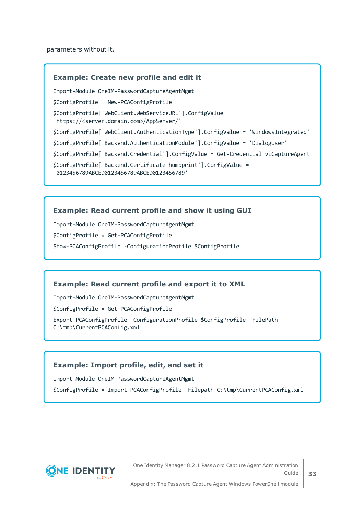parameters without it.

#### **Example: Create new profile and edit it**

Import-Module OneIM-PasswordCaptureAgentMgmt \$ConfigProfile = New-PCAConfigProfile

\$ConfigProfile['WebClient.WebServiceURL'].ConfigValue =

'https://<server.domain.com>/AppServer/'

\$ConfigProfile['WebClient.AuthenticationType'].ConfigValue = 'WindowsIntegrated'

\$ConfigProfile['Backend.AuthenticationModule'].ConfigValue = 'DialogUser'

\$ConfigProfile['Backend.Credential'].ConfigValue = Get-Credential viCaptureAgent

\$ConfigProfile['Backend.CertificateThumbprint'].ConfigValue =

'0123456789ABCED0123456789ABCED0123456789'

#### **Example: Read current profile and show it using GUI**

Import-Module OneIM-PasswordCaptureAgentMgmt

\$ConfigProfile = Get-PCAConfigProfile

Show-PCAConfigProfile -ConfigurationProfile \$ConfigProfile

#### **Example: Read current profile and export it to XML**

Import-Module OneIM-PasswordCaptureAgentMgmt

\$ConfigProfile = Get-PCAConfigProfile

Export-PCAConfigProfile -ConfigurationProfile \$ConfigProfile -FilePath C:\tmp\CurrentPCAConfig.xml

#### **Example: Import profile, edit, and set it**

Import-Module OneIM-PasswordCaptureAgentMgmt

\$ConfigProfile = Import-PCAConfigProfile -Filepath C:\tmp\CurrentPCAConfig.xml



One Identity Manager 8.2.1 Password Capture Agent Administration Guide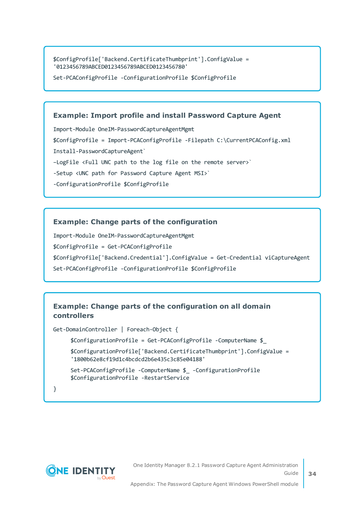\$ConfigProfile['Backend.CertificateThumbprint'].ConfigValue = '0123456789ABCED0123456789ABCED0123456780'

Set-PCAConfigProfile -ConfigurationProfile \$ConfigProfile

#### **Example: Import profile and install Password Capture Agent**

Import-Module OneIM-PasswordCaptureAgentMgmt

\$ConfigProfile = Import-PCAConfigProfile -Filepath C:\CurrentPCAConfig.xml

Install-PasswordCaptureAgent`

- –LogFile <Full UNC path to the log file on the remote server>`
- -Setup <UNC path for Password Capture Agent MSI>`
- -ConfigurationProfile \$ConfigProfile

#### **Example: Change parts of the configuration**

Import-Module OneIM-PasswordCaptureAgentMgmt

\$ConfigProfile = Get-PCAConfigProfile

\$ConfigProfile['Backend.Credential'].ConfigValue = Get-Credential viCaptureAgent

Set-PCAConfigProfile -ConfigurationProfile \$ConfigProfile

### **Example: Change parts of the configuration on all domain controllers**

Get-DomainController | Foreach-Object {

\$ConfigurationProfile = Get-PCAConfigProfile -ComputerName \$\_

\$ConfigurationProfile['Backend.CertificateThumbprint'].ConfigValue = '1800b62e8cf19d1c4bcdcd2b6e435c3c85e04188'

Set-PCAConfigProfile -ComputerName \$\_ -ConfigurationProfile \$ConfigurationProfile -RestartService

}



**34**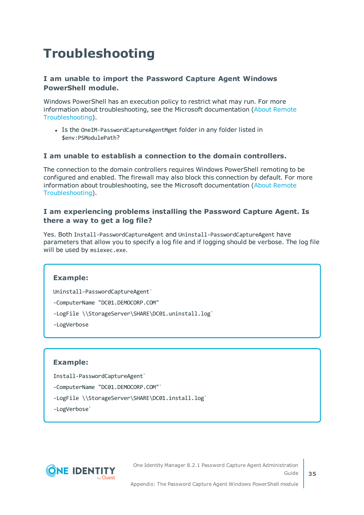## <span id="page-34-0"></span>**Troubleshooting**

### **I am unable to import the Password Capture Agent Windows PowerShell module.**

Windows PowerShell has an execution policy to restrict what may run. For more information about troubleshooting, see the Microsoft documentation (About [Remote](https://docs.microsoft.com/en-us/powershell/module/microsoft.powershell.core/about/about_remote_troubleshooting) [Troubleshooting\)](https://docs.microsoft.com/en-us/powershell/module/microsoft.powershell.core/about/about_remote_troubleshooting).

• Is the OneIM-PasswordCaptureAgentMgmt folder in any folder listed in \$env:PSModulePath?

### **I am unable to establish a connection to the domain controllers.**

The connection to the domain controllers requires Windows PowerShell remoting to be configured and enabled. The firewall may also block this connection by default. For more information about troubleshooting, see the Microsoft documentation (About [Remote](https://docs.microsoft.com/en-us/powershell/module/microsoft.powershell.core/about/about_remote_troubleshooting) [Troubleshooting\)](https://docs.microsoft.com/en-us/powershell/module/microsoft.powershell.core/about/about_remote_troubleshooting).

### **I am experiencing problems installing the Password Capture Agent. Is there a way to get a log file?**

Yes. Both Install-PasswordCaptureAgent and Uninstall-PasswordCaptureAgent have parameters that allow you to specify a log file and if logging should be verbose. The log file will be used by msiexec.exe.

#### **Example:**

Uninstall-PasswordCaptureAgent`

-ComputerName "DC01.DEMOCORP.COM"

-LogFile \\StorageServer\SHARE\DC01.uninstall.log`

-LogVerbose

#### **Example:**

Install-PasswordCaptureAgent`

-ComputerName "DC01.DEMOCORP.COM"`

-LogFile \\StorageServer\SHARE\DC01.install.log`

-LogVerbose`



One Identity Manager 8.2.1 Password Capture Agent Administration Guide

**35**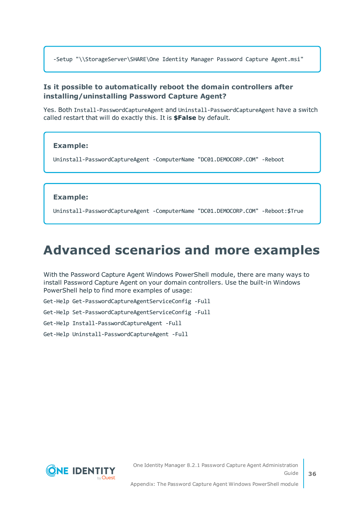-Setup "\\StorageServer\SHARE\One Identity Manager Password Capture Agent.msi"

### **Is it possible to automatically reboot the domain controllers after installing/uninstalling Password Capture Agent?**

Yes. Both Install-PasswordCaptureAgent and Uninstall-PasswordCaptureAgent have a switch called restart that will do exactly this. It is **\$False** by default.

### **Example:**

Uninstall-PasswordCaptureAgent -ComputerName "DC01.DEMOCORP.COM" -Reboot

#### **Example:**

Uninstall-PasswordCaptureAgent -ComputerName "DC01.DEMOCORP.COM" -Reboot:\$True

### <span id="page-35-0"></span>**Advanced scenarios and more examples**

With the Password Capture Agent Windows PowerShell module, there are many ways to install Password Capture Agent on your domain controllers. Use the built-in Windows PowerShell help to find more examples of usage:

Get-Help Get-PasswordCaptureAgentServiceConfig -Full

Get-Help Set-PasswordCaptureAgentServiceConfig -Full

Get-Help Install-PasswordCaptureAgent -Full

Get-Help Uninstall-PasswordCaptureAgent -Full

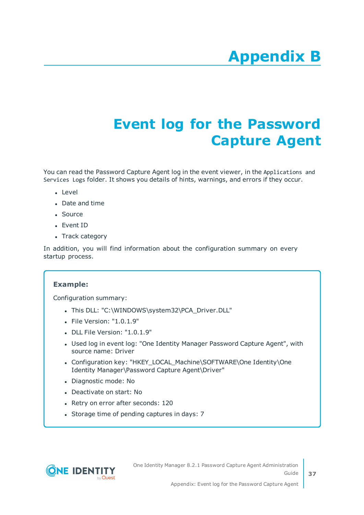# **Appendix:Event log for the Password Capture Agent**

<span id="page-36-0"></span>You can read the Password Capture Agent log in the event viewer, in the Applications and Services Logs folder. It shows you details of hints, warnings, and errors if they occur.

- Level
- Date and time
- Source
- Event ID
- Track category

In addition, you will find information about the configuration summary on every startup process.

### **Example:**

Configuration summary:

- . This DLL: "C:\WINDOWS\system32\PCA\_Driver.DLL"
- $\bullet$  File Version: "1.0.1.9"
- $\bullet$  DLL File Version: "1.0.1.9"
- Used log in event log: "One Identity Manager Password Capture Agent", with source name: Driver
- Configuration key: "HKEY\_LOCAL\_Machine\SOFTWARE\One Identity\One Identity Manager\Password Capture Agent\Driver"
- Diagnostic mode: No
- Deactivate on start: No
- Retry on error after seconds: 120
- Storage time of pending captures in days: 7

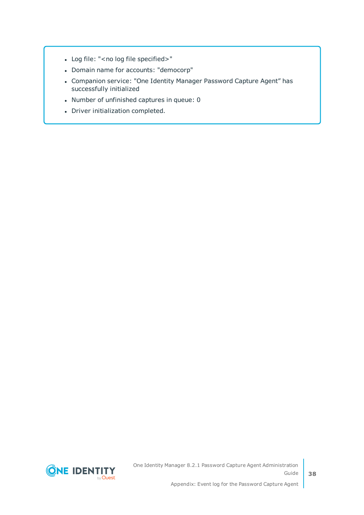- Log file: "<no log file specified>"
- Domain name for accounts: "democorp"
- Companion service: "One Identity Manager Password Capture Agent" has successfully initialized
- Number of unfinished captures in queue: 0
- Driver initialization completed.

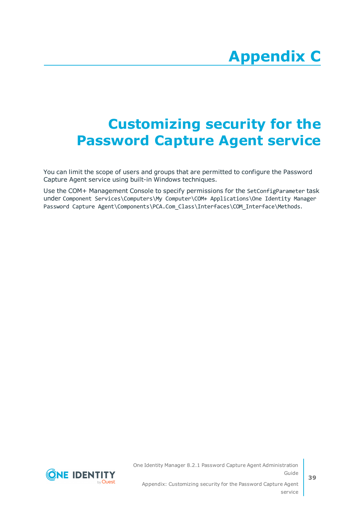# <span id="page-38-0"></span>**Appendix:Customizing security for the Password Capture Agent service**

You can limit the scope of users and groups that are permitted to configure the Password Capture Agent service using built-in Windows techniques.

Use the COM+ Management Console to specify permissions for the SetConfigParameter task under Component Services\Computers\My Computer\COM+ Applications\One Identity Manager Password Capture Agent\Components\PCA.Com Class\Interfaces\COM Interface\Methods.

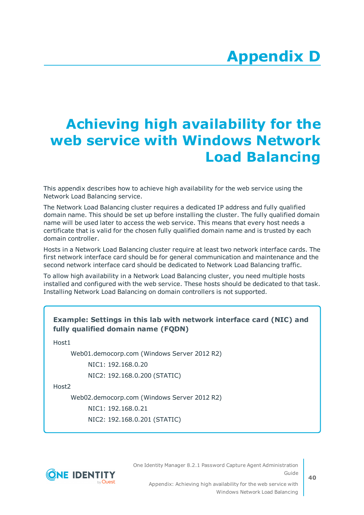# <span id="page-39-0"></span>**Appendix:Achieving high availability for the web service with Windows Network Load Balancing**

This appendix describes how to achieve high availability for the web service using the Network Load Balancing service.

The Network Load Balancing cluster requires a dedicated IP address and fully qualified domain name. This should be set up before installing the cluster. The fully qualified domain name will be used later to access the web service. This means that every host needs a certificate that is valid for the chosen fully qualified domain name and is trusted by each domain controller.

Hosts in a Network Load Balancing cluster require at least two network interface cards. The first network interface card should be for general communication and maintenance and the second network interface card should be dedicated to Network Load Balancing traffic.

To allow high availability in a Network Load Balancing cluster, you need multiple hosts installed and configured with the web service. These hosts should be dedicated to that task. Installing Network Load Balancing on domain controllers is not supported.

### **Example: Settings in this lab with network interface card (NIC) and fully qualified domain name (FQDN)**

Host1

Web01.democorp.com (Windows Server 2012 R2)

NIC1: 192.168.0.20

NIC2: 192.168.0.200 (STATIC)

Host2

Web02.democorp.com (Windows Server 2012 R2)

NIC1: 192.168.0.21

NIC2: 192.168.0.201 (STATIC)



One Identity Manager 8.2.1 Password Capture Agent Administration Guide

Appendix: Achieving high availability for the web service with Windows Network Load Balancing **40**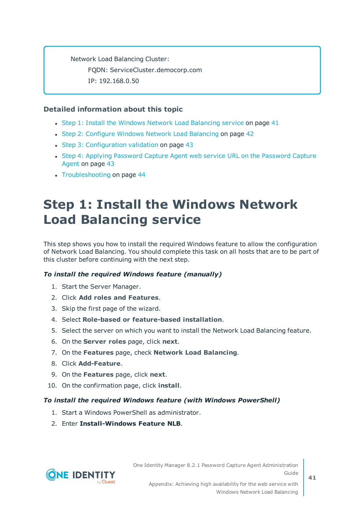Network Load Balancing Cluster: FQDN: ServiceCluster.democorp.com IP: 192.168.0.50

### **Detailed information about this topic**

- Step 1: Install the Windows Network Load [Balancing](#page-40-0) service on page 41
- Step 2: Configure Windows Network Load [Balancing](#page-41-0) on page 42
- Step 3: [Configuration](#page-42-0) validation on page 43
- Step 4: Applying [Password](#page-42-1) Capture Agent web service URL on the Password Capture [Agent](#page-42-1) on page 43
- [Troubleshooting](#page-43-0) on page 44

## <span id="page-40-0"></span>**Step 1: Install the Windows Network Load Balancing service**

This step shows you how to install the required Windows feature to allow the configuration of Network Load Balancing. You should complete this task on all hosts that are to be part of this cluster before continuing with the next step.

### *To install the required Windows feature (manually)*

- 1. Start the Server Manager.
- 2. Click **Add roles and Features**.
- 3. Skip the first page of the wizard.
- 4. Select **Role-based or feature-based installation**.
- 5. Select the server on which you want to install the Network Load Balancing feature.
- 6. On the **Server roles** page, click **next**.
- 7. On the **Features** page, check **Network Load Balancing**.
- 8. Click **Add-Feature**.
- 9. On the **Features** page, click **next**.
- 10. On the confirmation page, click **install**.

### *To install the required Windows feature (with Windows PowerShell)*

- 1. Start a Windows PowerShell as administrator.
- 2. Enter **Install-Windows Feature NLB**.

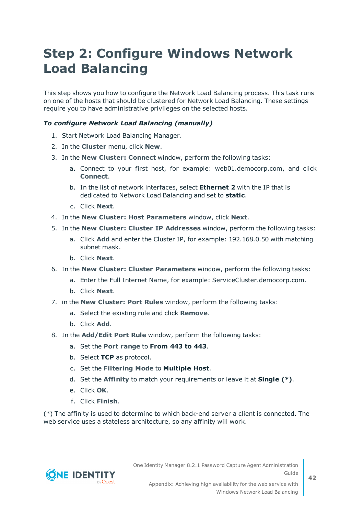## <span id="page-41-0"></span>**Step 2: Configure Windows Network Load Balancing**

This step shows you how to configure the Network Load Balancing process. This task runs on one of the hosts that should be clustered for Network Load Balancing. These settings require you to have administrative privileges on the selected hosts.

### *To configure Network Load Balancing (manually)*

- 1. Start Network Load Balancing Manager.
- 2. In the **Cluster** menu, click **New**.
- 3. In the **New Cluster: Connect** window, perform the following tasks:
	- a. Connect to your first host, for example: web01.democorp.com, and click **Connect**.
	- b. In the list of network interfaces, select **Ethernet 2** with the IP that is dedicated to Network Load Balancing and set to **static**.
	- c. Click **Next**.
- 4. In the **New Cluster: Host Parameters** window, click **Next**.
- 5. In the **New Cluster: Cluster IP Addresses** window, perform the following tasks:
	- a. Click **Add** and enter the Cluster IP, for example: 192.168.0.50 with matching subnet mask.
	- b. Click **Next**.
- 6. In the **New Cluster: Cluster Parameters** window, perform the following tasks:
	- a. Enter the Full Internet Name, for example: ServiceCluster.democorp.com.
	- b. Click **Next**.
- 7. in the **New Cluster: Port Rules** window, perform the following tasks:
	- a. Select the existing rule and click **Remove**.
	- b. Click **Add**.
- 8. In the **Add/Edit Port Rule** window, perform the following tasks:
	- a. Set the **Port range** to **From 443 to 443**.
	- b. Select **TCP** as protocol.
	- c. Set the **Filtering Mode** to **Multiple Host**.
	- d. Set the **Affinity** to match your requirements or leave it at **Single (\*)**.
	- e. Click **OK**.
	- f. Click **Finish**.

(\*) The affinity is used to determine to which back-end server a client is connected. The web service uses a stateless architecture, so any affinity will work.

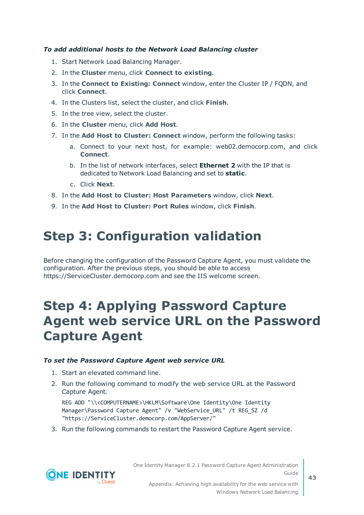### *To add additional hosts to the Network Load Balancing cluster*

- 1. Start Network Load Balancing Manager.
- 2. In the **Cluster** menu, click **Connect to existing**.
- 3. In the **Connect to Existing: Connect** window, enter the Cluster IP / FQDN, and click **Connect**.
- 4. In the Clusters list, select the cluster, and click **Finish**.
- 5. In the tree view, select the cluster.
- 6. In the **Cluster** menu, click **Add Host**.
- 7. In the **Add Host to Cluster: Connect** window, perform the following tasks:
	- a. Connect to your next host, for example: web02.democorp.com, and click **Connect**.
	- b. In the list of network interfaces, select **Ethernet 2** with the IP that is dedicated to Network Load Balancing and set to **static**.
	- c. Click **Next**.
- 8. In the **Add Host to Cluster: Host Parameters** window, click **Next**.
- <span id="page-42-0"></span>9. In the **Add Host to Cluster: Port Rules** window, click **Finish**.

### **Step 3: Configuration validation**

Before changing the configuration of the Password Capture Agent, you must validate the configuration. After the previous steps, you should be able to access https://ServiceCluster.democorp.com and see the IIS welcome screen.

### <span id="page-42-1"></span>**Step 4: Applying Password Capture Agent web service URL on the Password Capture Agent**

#### *To set the Password Capture Agent web service URL*

- 1. Start an elevated command line.
- 2. Run the following command to modify the web service URL at the Password Capture Agent.

REG ADD "\\<COMPUTERNAME>\HKLM\Software\One Identity\One Identity Manager\Password Capture Agent" /v "WebService\_URL" /t REG\_SZ /d "https://ServiceCluster.democorp.com/AppServer/"

3. Run the following commands to restart the Password Capture Agent service.



One Identity Manager 8.2.1 Password Capture Agent Administration Guide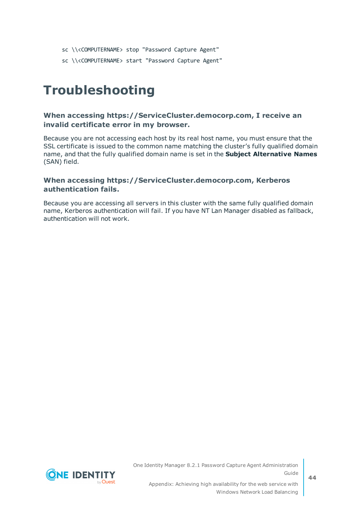- sc \\<COMPUTERNAME> stop "Password Capture Agent"
- sc \\<COMPUTERNAME> start "Password Capture Agent"

### <span id="page-43-0"></span>**Troubleshooting**

### **When accessing https://ServiceCluster.democorp.com, I receive an invalid certificate error in my browser.**

Because you are not accessing each host by its real host name, you must ensure that the SSL certificate is issued to the common name matching the cluster's fully qualified domain name, and that the fully qualified domain name is set in the **Subject Alternative Names** (SAN) field.

### **When accessing https://ServiceCluster.democorp.com, Kerberos authentication fails.**

Because you are accessing all servers in this cluster with the same fully qualified domain name, Kerberos authentication will fail. If you have NT Lan Manager disabled as fallback, authentication will not work.



**44**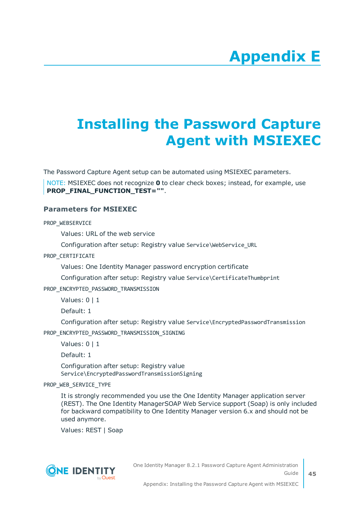# **Appendix E**

## <span id="page-44-0"></span>**Appendix:Installing the Password Capture Agent with MSIEXEC**

The Password Capture Agent setup can be automated using MSIEXEC parameters.

NOTE: MSIEXEC does not recognize **0** to clear check boxes; instead, for example, use PROP\_FINAL\_FUNCTION\_TEST="".

### **Parameters for MSIEXEC**

PROP\_WEBSERVICE

Values: URL of the web service

Configuration after setup: Registry value Service\WebService\_URL

PROP\_CERTIFICATE

Values: One Identity Manager password encryption certificate

Configuration after setup: Registry value Service\CertificateThumbprint

PROP\_ENCRYPTED\_PASSWORD\_TRANSMISSION

Values: 0 | 1

Default: 1

Configuration after setup: Registry value Service\EncryptedPasswordTransmission

PROP\_ENCRYPTED\_PASSWORD\_TRANSMISSION\_SIGNING

Values: 0 | 1

Default: 1

Configuration after setup: Registry value Service\EncryptedPasswordTransmissionSigning

PROP\_WEB\_SERVICE\_TYPE

It is strongly recommended you use the One Identity Manager application server (REST). The One Identity ManagerSOAP Web Service support (Soap) is only included for backward compatibility to One Identity Manager version 6.x and should not be used anymore.

Values: REST | Soap



One Identity Manager 8.2.1 Password Capture Agent Administration Guide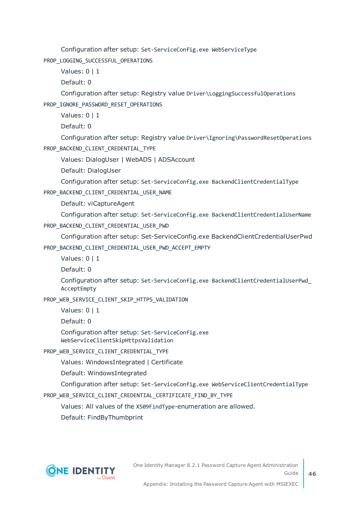Configuration after setup: Set-ServiceConfig.exe WebServiceType PROP\_LOGGING\_SUCCESSFUL\_OPERATIONS

Values: 0 | 1

Default: 0

Configuration after setup: Registry value Driver\LoggingSuccessfulOperations PROP\_IGNORE\_PASSWORD\_RESET\_OPERATIONS

Values: 0 | 1

Default: 0

Configuration after setup: Registry value Driver\Ignoring\PasswordResetOperations PROP\_BACKEND\_CLIENT\_CREDENTIAL\_TYPE

Values: DialogUser | WebADS | ADSAccount

Default: DialogUser

Configuration after setup: Set-ServiceConfig.exe BackendClientCredentialType

PROP\_BACKEND\_CLIENT\_CREDENTIAL\_USER\_NAME

Default: viCaptureAgent

Configuration after setup: Set-ServiceConfig.exe BackendClientCredentialUserName PROP\_BACKEND\_CLIENT\_CREDENTIAL\_USER\_PWD

Configuration after setup: Set-ServiceConfig.exe BackendClientCredentialUserPwd PROP\_BACKEND\_CLIENT\_CREDENTIAL\_USER\_PWD\_ACCEPT\_EMPTY

Values: 0 | 1

Default: 0

Configuration after setup: Set-ServiceConfig.exe BackendClientCredentialUserPwd\_ AcceptEmpty

PROP\_WEB\_SERVICE\_CLIENT\_SKIP\_HTTPS\_VALIDATION

Values: 0 | 1

Default: 0

Configuration after setup: Set-ServiceConfig.exe WebServiceClientSkipHttpsValidation

PROP\_WEB\_SERVICE\_CLIENT\_CREDENTIAL\_TYPE

Values: WindowsIntegrated | Certificate

Default: WindowsIntegrated

Configuration after setup: Set-ServiceConfig.exe WebServiceClientCredentialType

PROP\_WEB\_SERVICE\_CLIENT\_CREDENTIAL\_CERTIFICATE\_FIND\_BY\_TYPE

Values: All values of the X509FindType-enumeration are allowed.

Default: FindByThumbprint

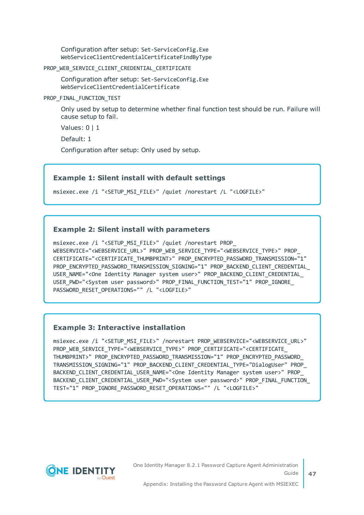Configuration after setup: Set-ServiceConfig.Exe WebServiceClientCredentialCertificateFindByType

PROP\_WEB\_SERVICE\_CLIENT\_CREDENTIAL\_CERTIFICATE

Configuration after setup: Set-ServiceConfig.Exe WebServiceClientCredentialCertificate

PROP\_FINAL\_FUNCTION\_TEST

Only used by setup to determine whether final function test should be run. Failure will cause setup to fail.

Values: 0 | 1

Default: 1

Configuration after setup: Only used by setup.

### **Example 1: Silent install with default settings**

msiexec.exe /i "<SETUP\_MSI\_FILE>" /quiet /norestart /L "<LOGFILE>"

### **Example 2: Silent install with parameters**

msiexec.exe /i "<SETUP MSI FILE>" /quiet /norestart PROP WEBSERVICE="<WEBSERVICE\_URL>" PROP\_WEB\_SERVICE\_TYPE="<WEBSERVICE\_TYPE>" PROP\_ CERTIFICATE="<CERTIFICATE\_THUMBPRINT>" PROP\_ENCRYPTED\_PASSWORD\_TRANSMISSION="1" PROP\_ENCRYPTED\_PASSWORD\_TRANSMISSION\_SIGNING="1" PROP\_BACKEND\_CLIENT\_CREDENTIAL\_ USER\_NAME="<One Identity Manager system user>" PROP\_BACKEND\_CLIENT\_CREDENTIAL\_ USER\_PWD="<System user password>" PROP\_FINAL\_FUNCTION\_TEST="1" PROP\_IGNORE\_ PASSWORD\_RESET\_OPERATIONS="" /L "<LOGFILE>"

### **Example 3: Interactive installation**

msiexec.exe /i "<SETUP\_MSI\_FILE>" /norestart PROP\_WEBSERVICE="<WEBSERVICE\_URL>" PROP\_WEB\_SERVICE\_TYPE="<WEBSERVICE\_TYPE>" PROP\_CERTIFICATE="<CERTIFICATE\_ THUMBPRINT>" PROP\_ENCRYPTED\_PASSWORD\_TRANSMISSION="1" PROP\_ENCRYPTED\_PASSWORD TRANSMISSION\_SIGNING="1" PROP\_BACKEND\_CLIENT\_CREDENTIAL\_TYPE="DialogUser" PROP\_ BACKEND CLIENT CREDENTIAL USER NAME="<One Identity Manager system user>" PROP BACKEND\_CLIENT\_CREDENTIAL\_USER\_PWD="<System user password>" PROP\_FINAL\_FUNCTION\_ TEST="1" PROP\_IGNORE\_PASSWORD\_RESET\_OPERATIONS="" /L "<LOGFILE>"



One Identity Manager 8.2.1 Password Capture Agent Administration Guide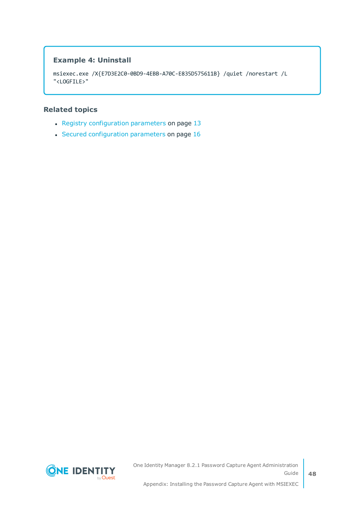### **Example 4: Uninstall**

```
msiexec.exe /X{E7D3E2C0-0BD9-4EBB-A70C-E835D575611B} /quiet /norestart /L
"<LOGFILE>"
```
### **Related topics**

- Registry [configuration](#page-12-0) parameters on page  $13$
- Secured [configuration](#page-15-0) parameters on page 16

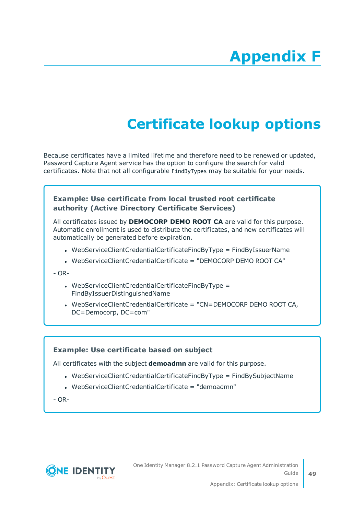# **Appendix:Certificate lookup options**

<span id="page-48-0"></span>Because certificates have a limited lifetime and therefore need to be renewed or updated, Password Capture Agent service has the option to configure the search for valid certificates. Note that not all configurable FindByTypes may be suitable for your needs.

### **Example: Use certificate from local trusted root certificate authority (Active Directory Certificate Services)**

All certificates issued by **DEMOCORP DEMO ROOT CA** are valid for this purpose. Automatic enrollment is used to distribute the certificates, and new certificates will automatically be generated before expiration.

- WebServiceClientCredentialCertificateFindByType = FindByIssuerName
- WebServiceClientCredentialCertificate = "DEMOCORP DEMO ROOT CA"

 $- OR -$ 

- $\bullet$  WebServiceClientCredentialCertificateFindByType = FindByIssuerDistinguishedName
- . WebServiceClientCredentialCertificate = "CN=DEMOCORP DEMO ROOT CA, DC=Democorp, DC=com"

### **Example: Use certificate based on subject**

All certificates with the subject **demoadmn** are valid for this purpose.

- $\bullet$  WebServiceClientCredentialCertificateFindByType = FindBySubjectName
- $\bullet$  WebServiceClientCredentialCertificate = "demoadmn"

- OR-

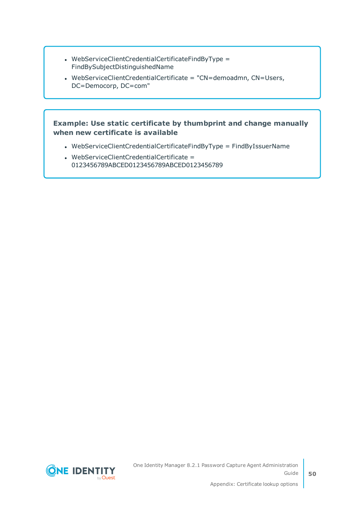- WebServiceClientCredentialCertificateFindByType = FindBySubjectDistinguishedName
- WebServiceClientCredentialCertificate = "CN=demoadmn, CN=Users, DC=Democorp, DC=com"

### **Example: Use static certificate by thumbprint and change manually when new certificate is available**

- WebServiceClientCredentialCertificateFindByType = FindByIssuerName
- $\bullet$  WebServiceClientCredentialCertificate = 0123456789ABCED0123456789ABCED0123456789



**50**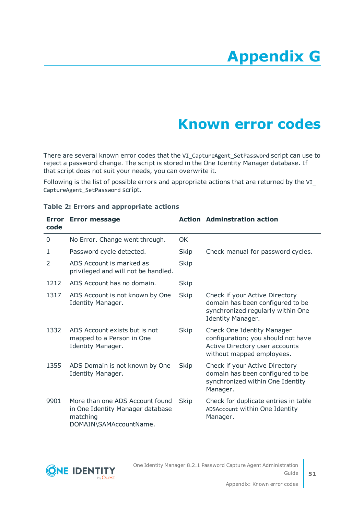# **Appendix G**

## **Appendix:Known error codes**

<span id="page-50-0"></span>There are several known error codes that the VI\_CaptureAgent\_SetPassword script can use to reject a password change. The script is stored in the One Identity Manager database. If that script does not suit your needs, you can overwrite it.

Following is the list of possible errors and appropriate actions that are returned by the VI\_ CaptureAgent\_SetPassword script.

| <b>Error</b><br>code | <b>Error message</b>                                                                                      |             | <b>Action Adminstration action</b>                                                                                              |
|----------------------|-----------------------------------------------------------------------------------------------------------|-------------|---------------------------------------------------------------------------------------------------------------------------------|
| 0                    | No Error. Change went through.                                                                            | <b>OK</b>   |                                                                                                                                 |
| 1                    | Password cycle detected.                                                                                  | Skip        | Check manual for password cycles.                                                                                               |
| $\mathcal{P}$        | ADS Account is marked as<br>privileged and will not be handled.                                           | <b>Skip</b> |                                                                                                                                 |
| 1212                 | ADS Account has no domain.                                                                                | Skip        |                                                                                                                                 |
| 1317                 | ADS Account is not known by One<br>Identity Manager.                                                      | <b>Skip</b> | Check if your Active Directory<br>domain has been configured to be<br>synchronized regularly within One<br>Identity Manager.    |
| 1332                 | ADS Account exists but is not<br>mapped to a Person in One<br>Identity Manager.                           | Skip        | Check One Identity Manager<br>configuration; you should not have<br>Active Directory user accounts<br>without mapped employees. |
| 1355                 | ADS Domain is not known by One<br>Identity Manager.                                                       | Skip        | Check if your Active Directory<br>domain has been configured to be<br>synchronized within One Identity<br>Manager.              |
| 9901                 | More than one ADS Account found<br>in One Identity Manager database<br>matching<br>DOMAIN\SAMAccountName. | Skip        | Check for duplicate entries in table<br>ADSAccount within One Identity<br>Manager.                                              |

#### **Table 2: Errors and appropriate actions**

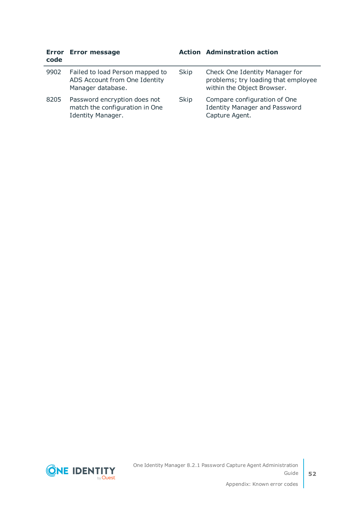| code | Error Error message                                                                   |      | <b>Action Adminstration action</b>                                                                  |
|------|---------------------------------------------------------------------------------------|------|-----------------------------------------------------------------------------------------------------|
| 9902 | Failed to load Person mapped to<br>ADS Account from One Identity<br>Manager database. | Skip | Check One Identity Manager for<br>problems; try loading that employee<br>within the Object Browser. |
| 8205 | Password encryption does not<br>match the configuration in One<br>Identity Manager.   | Skip | Compare configuration of One<br><b>Identity Manager and Password</b><br>Capture Agent.              |